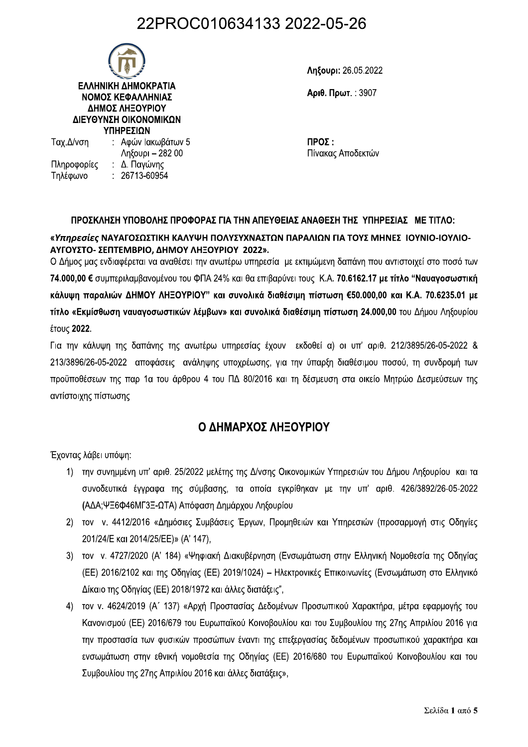## 22PROC010634133 2022-05-26



: 26713-60954

Τηλέφωνο

Ληξουρι: 26.05.2022

Αριθ. Πρωτ.: 3907

 $\Pi$ ΡΟΣ: Πίνακας Αποδεκτών

### ΠΡΟΣΚΛΗΣΗ ΥΠΟΒΟΛΗΣ ΠΡΟΦΟΡΑΣ ΓΙΑ ΤΗΝ ΑΠΕΥΘΕΙΑΣ ΑΝΑΘΕΣΗ ΤΗΣ ΥΠΗΡΕΣΙΑΣ ΜΕ ΤΙΤΛΟ:

### «Υπηρεσίες ΝΑΥΑΓΟΣΩΣΤΙΚΗ ΚΑΛΥΨΗ ΠΟΛΥΣΥΧΝΑΣΤΩΝ ΠΑΡΑΛΙΩΝ ΓΙΑ ΤΟΥΣ ΜΗΝΕΣ ΙΟΥΝΙΟ-ΙΟΥΛΙΟ-ΑΥΓΟΥΣΤΟ- ΣΕΠΤΕΜΒΡΙΟ, ΔΗΜΟΥ ΛΗΞΟΥΡΙΟΥ 2022».

Ο Δήμος μας ενδιαφέρεται να αναθέσει την ανωτέρω υπηρεσία με εκτιμώμενη δαπάνη που αντιστοιχεί στο ποσό των 74.000.00 € συμπεριλαμβανομένου του ΦΠΑ 24% και θα επιβαρύνει τους Κ.Α. 70.6162.17 με τίτλο "Ναυαγοσωστική κάλυψη παραλιών ΔΗΜΟΥ ΛΗΞΟΥΡΙΟΥ" και συνολικά διαθέσιμη πίστωση €50.000,00 και Κ.Α. 70.6235.01 με τίτλο «Εκμίσθωση ναυαγοσωστικών λέμβων» και συνολικά διαθέσιμη πίστωση 24.000,00 του Δήμου Ληξουρίου έτους 2022.

Για την κάλυψη της δαπάνης της ανωτέρω υπηρεσίας έχουν εκδοθεί α) οι υπ' αριθ. 212/3895/26-05-2022 & 213/3896/26-05-2022 αποφάσεις ανάληψης υποχρέωσης, για την ύπαρξη διαθέσιμου ποσού, τη συνδρομή των προϋποθέσεων της παρ 1α του άρθρου 4 του ΠΔ 80/2016 και τη δέσμευση στα οικείο Μητρώο Δεσμεύσεων της αντίστοιχης πίστωσης

## Ο ΔΗΜΑΡΧΟΣ ΛΗΞΟΥΡΙΟΥ

Έχοντας λάβει υπόψη:

- 1) την συνημμένη υπ' αριθ. 25/2022 μελέτης της Δ/νσης Οικονομικών Υπηρεσιών του Δήμου Ληξουρίου και τα συνοδευτικά έγγραφα της σύμβασης, τα οποία εγκρίθηκαν με την υπ' αριθ. 426/3892/26-05-2022 (ΑΔΑ;ΨΞ6Φ46ΜΓ3Ξ-ΩΤΑ) Απόφαση Δημάρχου Ληξουρίου
- 2) τον ν. 4412/2016 «Δημόσιες Συμβάσεις Έργων, Προμηθειών και Υπηρεσιών (προσαρμογή στις Οδηγίες 201/24/E KGI 2014/25/EE)» (A' 147).
- 3) τον ν. 4727/2020 (Α' 184) «Ψηφιακή Διακυβέρνηση (Ενσωμάτωση στην Ελληνική Νομοθεσία της Οδηγίας (ΕΕ) 2016/2102 και της Οδηγίας (ΕΕ) 2019/1024) - Ηλεκτρονικές Επικοινωνίες (Ενσωμάτωση στο Ελληνικό Δίκαιο της Οδηγίας (ΕΕ) 2018/1972 και άλλες διατάξεις",
- 4) τον ν. 4624/2019 (Α΄ 137) «Αρχή Προστασίας Δεδομένων Προσωπικού Χαρακτήρα, μέτρα εφαρμογής του Κανονισμού (ΕΕ) 2016/679 του Ευρωπαϊκού Κοινοβουλίου και του Συμβουλίου της 27ης Απριλίου 2016 για την προστασία των φυσικών προσώπων έναντι της επεξεργασίας δεδομένων προσωπικού χαρακτήρα και ενσωμάτωση στην εθνική νομοθεσία της Οδηγίας (ΕΕ) 2016/680 του Ευρωπαϊκού Κοινοβουλίου και του Συμβουλίου της 27ης Απριλίου 2016 και άλλες διατάξεις»,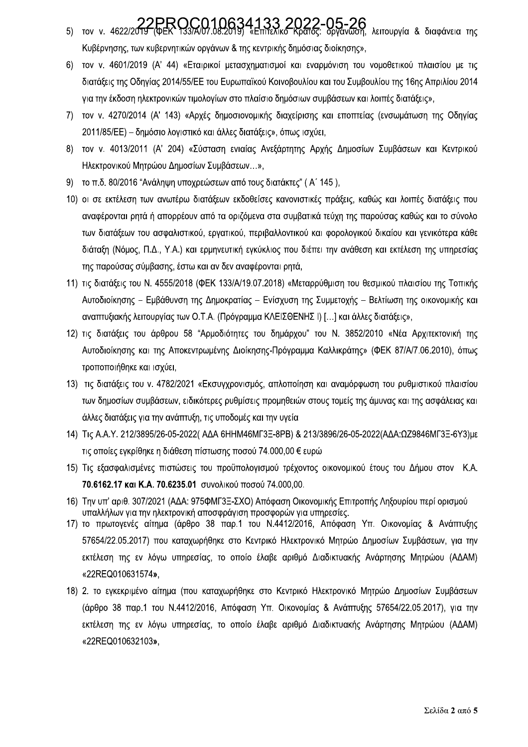- 5) τον ν. 4622/2019 (ΦΕΚ 133/Α/07.08.2019) «Επίτελικό Κράτος: Οργάνωση, λειτουργία & διαφάνεια της Κυβέρνησης, των κυβερνητικών οργάνων & της κεντρικής δημόσιας διοίκησης»,
- 6) τον ν. 4601/2019 (A' 44) «Εταιρικοί μετασχηματισμοί και εναρμόνιση του νομοθετικού πλαισίου με τις διατάξεις της Οδηγίας 2014/55/ΕΕ του Ευρωπαϊκού Κοινοβουλίου και του Συμβουλίου της 16ης Απριλίου 2014 για την έκδοση ηλεκτρονικών τιμολογίων στο πλαίσιο δημόσιων συμβάσεων και λοιπές διατάξεις»,
- 7) τον ν. 4270/2014 (Α' 143) «Αρχές δημοσιονομικής διαχείρισης και εποπτείας (ενσωμάτωση της Οδηγίας 2011/85/ΕΕ) – δημόσιο λογιστικό και άλλες διατάξεις», όπως ισχύει,
- 8) τον ν. 4013/2011 (Α' 204) «Σύσταση ενιαίας Ανεξάρτητης Αρχής Δημοσίων Συμβάσεων και Κεντρικού Ηλεκτρονικού Μητρώου Δημοσίων Συμβάσεων...»,
- 9) το π.δ. 80/2016 "Ανάληψη υποχρεώσεων από τους διατάκτες" (Α' 145),
- 10) οι σε εκτέλεση των ανωτέρω διατάξεων εκδοθείσες κανονιστικές πράξεις, καθώς και λοιπές διατάξεις που αναφέρονται ρητά ή απορρέουν από τα οριζόμενα στα συμβατικά τεύχη της παρούσας καθώς και το σύνολο των διατάξεων του ασφαλιστικού, εργατικού, περιβαλλοντικού και φορολογικού δικαίου και γενικότερα κάθε διάταξη (Νόμος, Π.Δ., Υ.Α.) και ερμηνευτική εγκύκλιος που διέπει την ανάθεση και εκτέλεση της υπηρεσίας της παρούσας σύμβασης, έστω και αν δεν αναφέρονται ρητά,
- 11) τις διατάξεις του Ν. 4555/2018 (ΦΕΚ 133/Α/19.07.2018) «Μεταρρύθμιση του θεσμικού πλαισίου της Τοπικής Αυτοδιοίκησης – Εμβάθυνση της Δημοκρατίας – Ενίσχυση της Συμμετοχής – Βελτίωση της οικονομικής και αναπτυξιακής λειτουργίας των Ο.Τ.Α. (Πρόγραμμα ΚΛΕΙΣΘΕΝΗΣ Ι) [...] και άλλες διατάξεις»,
- 12) τις διατάξεις του άρθρου 58 "Αρμοδιότητες του δημάρχου" του Ν. 3852/2010 «Νέα Αρχιτεκτονική της Αυτοδιοίκησης και της Αποκεντρωμένης Διοίκησης-Πρόγραμμα Καλλικράτης» (ΦΕΚ 87/Α/7.06.2010), όπως τροποποιήθηκε και ισχύει,
- 13) τις διατάξεις του ν. 4782/2021 «Εκσυγχρονισμός, απλοποίηση και αναμόρφωση του ρυθμιστικού πλαισίου των δημοσίων συμβάσεων, ειδικότερες ρυθμίσεις προμηθειών στους τομείς της άμυνας και της ασφάλειας και άλλες διατάξεις για την ανάπτυξη, τις υποδομές και την υγεία
- 14) Tiς A.A.Y. 212/3895/26-05-2022( ΑΔΑ 6HHM46MF3Ξ-8PB) & 213/3896/26-05-2022(ΑΔΑ:ΩΖ9846MF3Ξ-6Y3)με τις οποίες εγκρίθηκε η διάθεση πίστωσης ποσού 74.000.00 € ευρώ
- 15) Τις εξασφαλισμένες πιστώσεις του προϋπολογισμού τρέχοντος οικονομικού έτους του Δήμου στον Κ.Α. 70.6162.17 και Κ.Α. 70.6235.01 συνολικού ποσού 74.000,00.
- 16) Την υπ' αριθ. 307/2021 (ΑΔΑ: 975ΦΜΓ3Ξ-ΣΧΟ) Απόφαση Οικονομικής Επιτροπής Ληξουρίου περί ορισμού υπαλλήλων για την ηλεκτρονική αποσφράγιση προσφορών για υπηρεσίες.
- 17) το πρωτογενές αίτημα (άρθρο 38 παρ.1 του Ν.4412/2016, Απόφαση Υπ. Οικονομίας & Ανάπτυξης 57654/22.05.2017) που καταχωρήθηκε στο Κεντρικό Ηλεκτρονικό Μητρώο Δημοσίων Συμβάσεων, για την εκτέλεση της εν λόγω υπηρεσίας, το οποίο έλαβε αριθμό Διαδικτυακής Ανάρτησης Μητρώου (ΑΔΑΜ) «22REQ010631574»,
- 18) 2. το εγκεκριμένο αίτημα (που καταχωρήθηκε στο Κεντρικό Ηλεκτρονικό Μητρώο Δημοσίων Συμβάσεων (άρθρο 38 παρ.1 του Ν.4412/2016, Απόφαση Υπ. Οικονομίας & Ανάπτυξης 57654/22.05.2017), για την εκτέλεση της εν λόγω υπηρεσίας, το οποίο έλαβε αριθμό Διαδικτυακής Ανάρτησης Μητρώου (ΑΔΑΜ) «22REQ010632103»,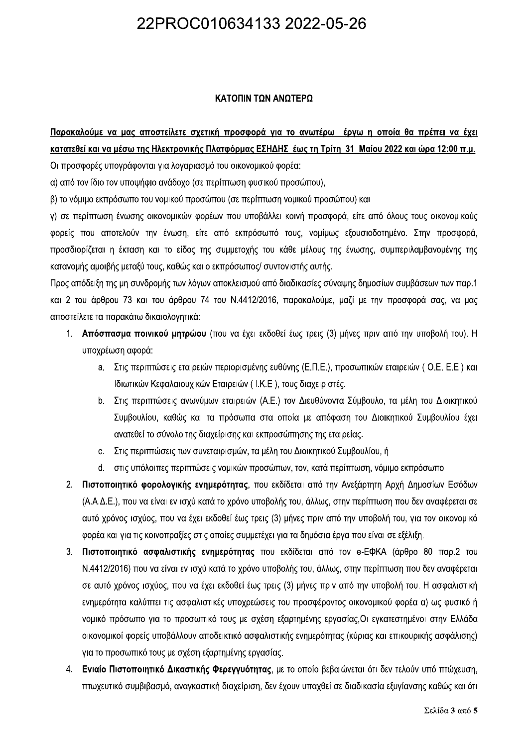# 22PROC010634133 2022-05-26

### ΚΑΤΟΠΙΝ ΤΩΝ ΑΝΩΤΕΡΩ

**ΚΑΤΟΠΙΝ ΤΩΝ ΑΝΩΤΕΡΩ**<br><u>Κατατεθεί και να μάσω της Ηλεκτρονικής Πλατφόρμας ΕΣΗΔΗΣ έως τη Τρίτη 31 Μαΐου 2022 και ώρα 12:00 π.μ.<br>Οι προσφορές υπογράφονται για λογαριασμό του οικονομικού φορέα:<br>α) από τον ίδιο τον υποψήφιο αν</u> TΓροσδιορίζεται η έκταση και το είδος της συμμετοχής του κάθε μέλους της ένωσης, συμπεριλαμβανομένης της κατανομής αμοιβής μεταξύ τους, καθώς και ο εκπρόσωπος/ συντονιστής αυτής.

Προς απόδειξη της μη συνδρομής των λόγων αποκλεισμού από διαδικασίες σύναψης δημοσίων συμβάσεων των παρ.1 και 2 του άρθρου 73 και του άρθρου 74 του Ν.4412/2016, παρακαλούμε, μαζί με την προσφορά σας, να μας αποστείλετε τα παρακάτω δικαιολονητικά:

- 1. Απόσπασμα ποινικού μητρώου (που να έχει εκδοθεί έως τρεις (3) μήνες πριν από την υποβολή του). Η υποχρέωση αφορά:
	- a. Στις περιπτώσεις εταιρειών περιορισμένης ευθύνης (Ε.Π.Ε.), προσωπικών εταιρειών (Ο.Ε. Ε.Ε.) και Ιδιωτικών Κεφαλαιουχικών Εταιρειών (Ι.Κ.Ε), τους διαχειριστές.
	- b. Στις περιπτώσεις ανωνύμων εταιρειών (Α.Ε.) τον Διευθύνοντα Σύμβουλο, τα μέλη του Διοικητικού Συμβουλίου, καθώς και τα πρόσωπα στα οποία με απόφαση του Διοικητικού Συμβουλίου έχει ανατεθεί το σύνολο της διαχείρισης και εκπροσώπησης της εταιρείας.
	- c. Στις περιπτώσεις των συνεταιρισμών, τα μέλη του Διοικητικού Συμβουλίου, ή
	- d. στις υπόλοιπες περιπτώσεις νομικών προσώπων, τον, κατά περίπτωση, νόμιμο εκπρόσωπο
- 2. Πιστοποιητικό φορολογικής ενημερότητας, που εκδίδεται από την Ανεξάρτητη Αρχή Δημοσίων Εσόδων (Α.Α.Δ.Ε.), που να είναι εν ισχύ κατά το χρόνο υποβολής του, άλλως, στην περίπτωση που δεν αναφέρεται σε αυτό χρόνος ισχύος, που να έχει εκδοθεί έως τρεις (3) μήνες πριν από την υποβολή του, για τον οικονομικό φορέα και για τις κοινοπραξίες στις οποίες συμμετέχει για τα δημόσια έργα που είναι σε εξέλιξη.
- 3. Πιστοποιητικό ασφαλιστικής ενημερότητας που εκδίδεται από τον e-ΕΦΚΑ (άρθρο 80 παρ.2 του N.4412/2016) που να είναι εν ισχύ κατά το χρόνο υποβολής του, άλλως, στην περίπτωση που δεν αναφέρεται σε αυτό χρόνος ισχύος, που να έχει εκδοθεί έως τρεις (3) μήνες πριν από την υποβολή του. Η ασφαλιστική  $\ell$  ενημερότητα καλύπτει τις ασφαλιστικές υποχρεώσεις του προσφέροντος οικονομικού φορέα α) ως φυσικό ή vομικό πρόσωπο για το προσωπικό τους με σχέση εξαρτημένης εργασίας, Οι εγκατεστημένοι στην Ελλάδα DIKOVOμικοί φορείς υποβάλλουν αποδεικτικό ασφαλιστικής ενημερότητας (κύριας και επικουρικής ασφάλισης) VΙα το προσωπικό τους με σχέση εξαρτημένης εργασίας.
- 4. Ενιαίο Πιστοποιητικό Δικαστικής Φερεγγυότητας, με το οποίο βεβαιώνεται ότι δεν τελούν υπό πτώχευση, πτωχευτικό συμβιβασμό, αναγκαστική διαχείριση, δεν έχουν υπαχθεί σε διαδικασία εξυγίανσης καθώς και ότι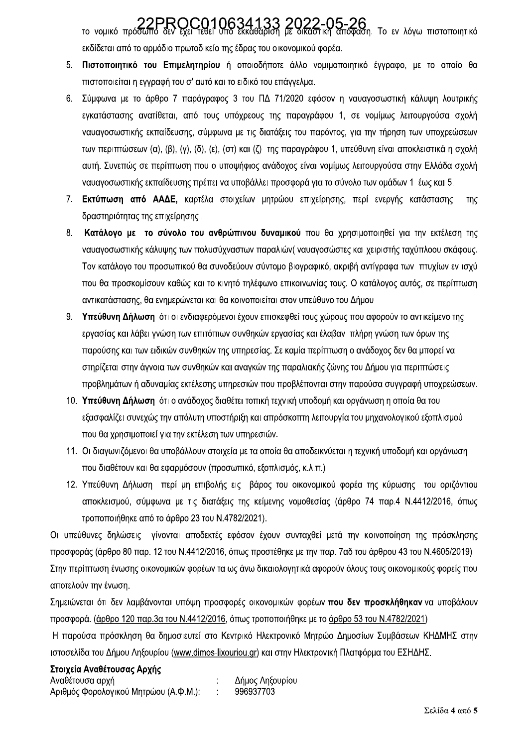70 νομικό πρόσωπο δεν έχει τεθεί υπό εκκαθάριση με δικαστική απόφαση. Το εν λόγω πιστοποιητικό εκδίδεται από το αρμόδιο πρωτοδικείο της έδρας του οικονομικού φορέα.

- 5. Πιστοποιητικό του Επιμελητηρίου ή οποιοδήποτε άλλο νομιμοποιητικό έννραφο, με το οποίο θα πιστοποιείται η εγγραφή του σ' αυτό και το ειδικό του επάγγελμα.
- Σύμφωνα με το άρθρο 7 παράγραφος 3 του ΠΔ 71/2020 εφόσον η ναυαγοσωστική κάλυψη λουτρικής  $6.$ εγκατάστασης ανατίθεται, από τους υπόχρεους της παραγράφου 1, σε νομίμως λειτουργούσα σχολή ναυανοσωστικής εκπαίδευσης, σύμφωνα με τις διατάξεις του παρόντος, για την τήρηση των υποχρεώσεων των περιπτώσεων (α), (β), (γ), (δ), (ε), (στ) και (ζ) της παραγράφου 1, υπεύθυνη είναι αποκλειστικά η σχολή αυτή. Συνεπώς σε περίπτωση που ο υποψήφιος ανάδοχος είναι νομίμως λειτουργούσα στην Ελλάδα σχολή ναυαγοσωστικής εκπαίδευσης πρέπει να υποβάλλει προσφορά για το σύνολο των ομάδων 1 έως και 5.
- 7. Εκτύπωση από ΑΑΔΕ, καρτέλα στοιχείων μητρώου επιχείρησης, περί ενεργής κατάστασης  $TnC$ δραστηριότητας της επιχείρησης.
- 8. Κατάλογο με το σύνολο του ανθρώπινου δυναμικού που θα χρησιμοποιηθεί για την εκτέλεση της ναυαγοσωστικής κάλυψης των πολυσύχναστων παραλιών( ναυαγοσώστες και χειριστής ταχύπλοου σκάφους. Τον κατάλονο του προσωπικού θα συνοδεύουν σύντομο βιονραφικό, ακριβή αντίνραφα των πτυχίων εν ισχύ που θα προσκομίσουν καθώς και το κινητό τηλέφωνο επικοινωνίας τους. Ο κατάλογος αυτός, σε περίπτωση αντικατάστασης, θα ενημερώνεται και θα κοινοποιείται στον υπεύθυνο του Δήμου
- 9. Υπεύθυνη Δήλωση ότι οι ενδιαφερόμενοι έχουν επισκεφθεί τους χώρους που αφορούν το αντικείμενο της εργασίας και λάβει γνώση των επιτόπιων συνθηκών εργασίας και έλαβαν πλήρη γνώση των όρων της παρούσης και των ειδικών συνθηκών της υπηρεσίας. Σε καμία περίπτωση ο ανάδοχος δεν θα μπορεί να στηρίζεται στην άγνοια των συνθηκών και αναγκών της παραλιακής ζώνης του Δήμου για περιπτώσεις προβλημάτων ή αδυναμίας εκτέλεσης υπηρεσιών που προβλέπονται στην παρούσα συγγραφή υποχρεώσεων.
- 10. Υπεύθυνη Δήλωση ότι ο ανάδοχος διαθέτει τοπική τεχνική υποδομή και οργάνωση η οποία θα του εξασφαλίζει συνεχώς την απόλυτη υποστήριξη και απρόσκοπτη λειτουργία του μηχανολογικού εξοπλισμού που θα χρησιμοποιεί για την εκτέλεση των υπηρεσιών.
- 11. Οι διαγωνιζόμενοι θα υποβάλλουν στοιχεία με τα οποία θα αποδεικνύεται η τεχνική υποδομή και οργάνωση που διαθέτουν και θα εφαρμόσουν (προσωπικό, εξοπλισμός, κ.λ.π.)
- 12. Υπεύθυνη Δήλωση περί μη επιβολής εις βάρος του οικονομικού φορέα της κύρωσης του οριζόντιου αποκλεισμού, σύμφωνα με τις διατάξεις της κείμενης νομοθεσίας (άρθρο 74 παρ.4 Ν.4412/2016, όπως τροποποιήθηκε από το άρθρο 23 του Ν.4782/2021).

Οι υπεύθυνες δηλώσεις γίνονται αποδεκτές εφόσον έχουν συνταχθεί μετά την κοινοποίηση της πρόσκλησης προσφοράς (άρθρο 80 παρ. 12 του Ν.4412/2016, όπως προστέθηκε με την παρ. 7αδ του άρθρου 43 του Ν.4605/2019) Στην περίπτωση ένωσης οικονομικών φορέων τα ως άνω δικαιολογητικά αφορούν όλους τους οικονομικούς φορείς που αποτελούν την ένωση.

Σημειώνεται ότι δεν λαμβάνονται υπόψη προσφορές οικονομικών φορέων που δεν προσκλήθηκαν να υποβάλουν προσφορά. (άρθρο 120 παρ.3α του Ν.4412/2016, όπως τροποποιήθηκε με το άρθρο 53 του Ν.4782/2021)

Η παρούσα πρόσκληση θα δημοσιευτεί στο Κεντρικό Ηλεκτρονικό Μητρώο Δημοσίων Συμβάσεων ΚΗΔΜΗΣ στην ιστοσελίδα του Δήμου Ληξουρίου (www.dimos-lixouriou.gr) και στην Ηλεκτρονική Πλατφόρμα του ΕΣΗΔΗΣ.

Στοιχεία Αναθέτουσας Αρχής Δήμος Ληξουρίου Αναθέτουσα αρχή Αριθμός Φορολογικού Μητρώου (Α.Φ.Μ.):  $\sim 10$ 996937703